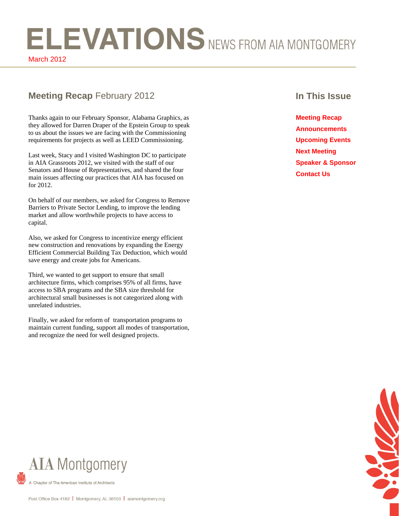# ELEVATIONS NEWS FROM AIA MONTGOMERY

March 2012

### **Meeting Recap** February 2012 **In This Issue**

Thanks again to our February Sponsor, Alabama Graphics, as they allowed for Darren Draper of the Epstein Group to speak to us about the issues we are facing with the Commissioning requirements for projects as well as LEED Commissioning.

Last week, Stacy and I visited Washington DC to participate in AIA Grassroots 2012, we visited with the staff of our Senators and House of Representatives, and shared the four main issues affecting our practices that AIA has focused on for 2012.

On behalf of our members, we asked for Congress to Remove Barriers to Private Sector Lending, to improve the lending market and allow worthwhile projects to have access to capital.

Also, we asked for Congress to incentivize energy efficient new construction and renovations by expanding the Energy Efficient Commercial Building Tax Deduction, which would save energy and create jobs for Americans.

Third, we wanted to get support to ensure that small architecture firms, which comprises 95% of all firms, have access to SBA programs and the SBA size threshold for architectural small businesses is not categorized along with unrelated industries.

Finally, we asked for reform of transportation programs to maintain current funding, support all modes of transportation, and recognize the need for well designed projects.

**Meeting Recap Announcements Upcoming Events Next Meeting Speaker & Sponsor Contact Us** 

COL

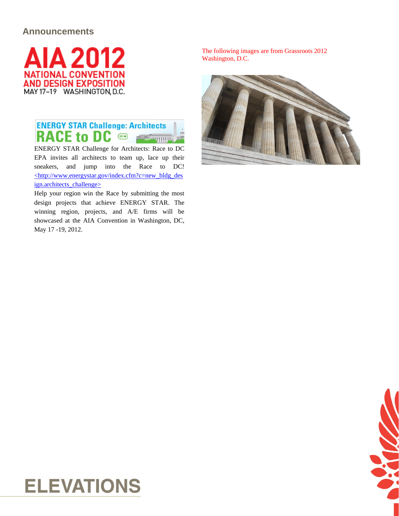### **Announcements**



### **ENERGY STAR Challenge: Architects** RACE to DC @ **Community**

ENERGY STAR Challenge for Architects: Race to DC EPA invites all architects to team up, lace up their sneakers, and jump into the Race to DC! [<http://www.energystar.gov/index.cfm?c=new\\_bldg\\_des](http://www.energystar.gov/index.cfm?c=new_bldg_design.architects_challenge) [ign.architects\\_challenge>](http://www.energystar.gov/index.cfm?c=new_bldg_design.architects_challenge)

Help your region win the Race by submitting the most design projects that achieve ENERGY STAR. The winning region, projects, and A/E firms will be showcased at the AIA Convention in Washington, DC, May 17 -19, 2012.

The following images are from Grassroots 2012 Washington, D.C.





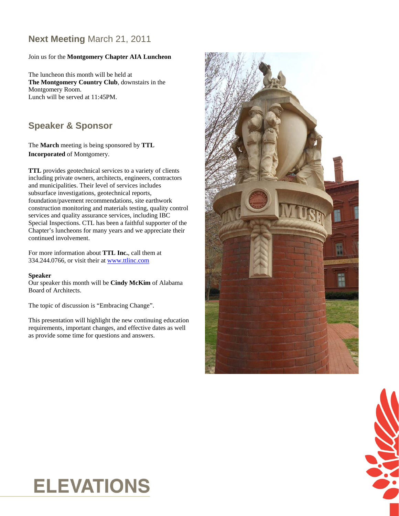### **Next Meeting** March 21, 2011

### Join us for the **Montgomery Chapter AIA Luncheon**

The luncheon this month will be held at **The Montgomery Country Club**, downstairs in the Montgomery Room. Lunch will be served at 11:45PM.

### **Speaker & Sponsor**

The **March** meeting is being sponsored by **TTL Incorporated** of Montgomery.

**TTL** provides geotechnical services to a variety of clients including private owners, architects, engineers, contractors and municipalities. Their level of services includes subsurface investigations, geotechnical reports, foundation/pavement recommendations, site earthwork construction monitoring and materials testing, quality control services and quality assurance services, including IBC Special Inspections. CTL has been a faithful supporter of the Chapter's luncheons for many years and we appreciate their continued involvement.

For more information about **TTL Inc.**, call them at 334.244.0766, or visit their at www.ttlinc.com

#### **Speaker**

Our speaker this month will be **Cindy McKim** of Alabama Board of Architects.

The topic of discussion is "Embracing Change".

This presentation will highlight the new continuing education requirements, important changes, and effective dates as well as provide some time for questions and answers.



$$
\mathcal{L}(\mathbf{X})
$$

### **ELEVATIONS**